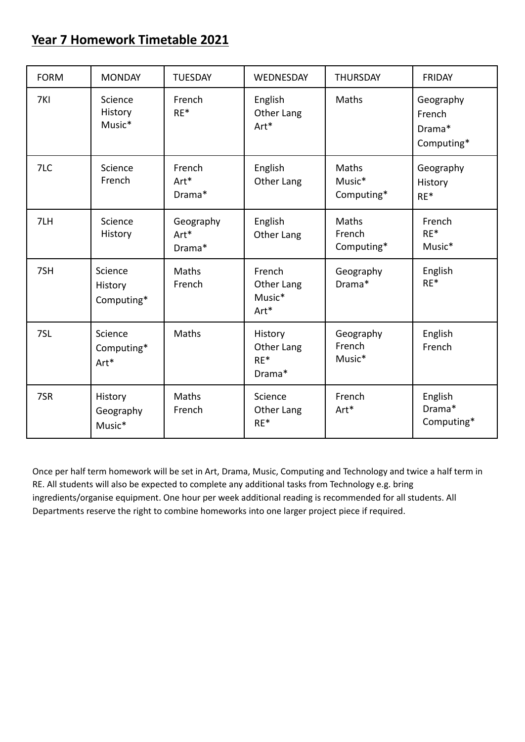## **Year 7 Homework Timetable 2021**

| <b>FORM</b> | <b>MONDAY</b>                    | <b>TUESDAY</b>              | WEDNESDAY                                | <b>THURSDAY</b>               | <b>FRIDAY</b>                               |
|-------------|----------------------------------|-----------------------------|------------------------------------------|-------------------------------|---------------------------------------------|
| 7KI         | Science<br>History<br>Music*     | French<br>$RE*$             | English<br>Other Lang<br>Art*            | Maths                         | Geography<br>French<br>Drama*<br>Computing* |
| 7LC         | Science<br>French                | French<br>Art*<br>Drama*    | English<br>Other Lang                    | Maths<br>Music*<br>Computing* | Geography<br>History<br>$RE*$               |
| 7LH         | Science<br>History               | Geography<br>Art*<br>Drama* | English<br>Other Lang                    | Maths<br>French<br>Computing* | French<br>$RE*$<br>Music*                   |
| 7SH         | Science<br>History<br>Computing* | Maths<br>French             | French<br>Other Lang<br>Music*<br>Art*   | Geography<br>Drama*           | English<br>$RE*$                            |
| 7SL         | Science<br>Computing*<br>Art*    | Maths                       | History<br>Other Lang<br>$RE*$<br>Drama* | Geography<br>French<br>Music* | English<br>French                           |
| 7SR         | History<br>Geography<br>Music*   | Maths<br>French             | Science<br>Other Lang<br>$RE*$           | French<br>Art*                | English<br>Drama*<br>Computing*             |

Once per half term homework will be set in Art, Drama, Music, Computing and Technology and twice a half term in RE. All students will also be expected to complete any additional tasks from Technology e.g. bring ingredients/organise equipment. One hour per week additional reading is recommended for all students. All Departments reserve the right to combine homeworks into one larger project piece if required.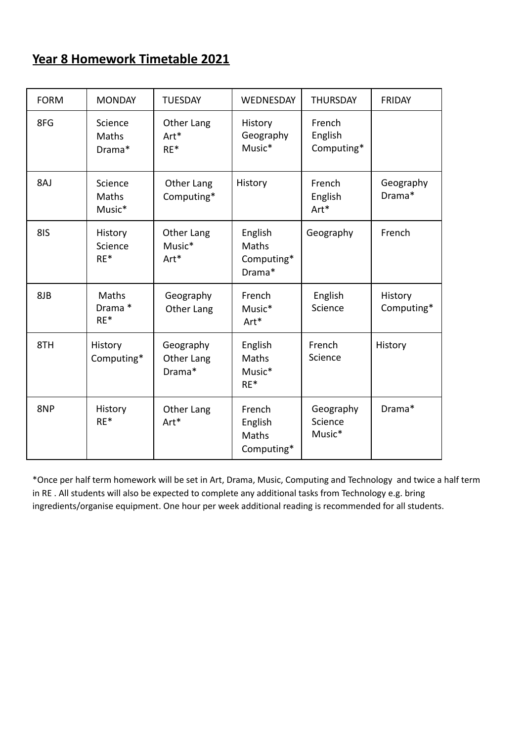## **Year 8 Homework Timetable 2021**

| <b>FORM</b> | <b>MONDAY</b>               | <b>TUESDAY</b>                    | WEDNESDAY                                | <b>THURSDAY</b>                 | <b>FRIDAY</b>         |
|-------------|-----------------------------|-----------------------------------|------------------------------------------|---------------------------------|-----------------------|
| 8FG         | Science<br>Maths<br>Drama*  | Other Lang<br>Art*<br>$RE*$       | History<br>Geography<br>Music*           | French<br>English<br>Computing* |                       |
| 8AJ         | Science<br>Maths<br>Music*  | Other Lang<br>Computing*          | History                                  | French<br>English<br>Art*       | Geography<br>Drama*   |
| 8IS         | History<br>Science<br>$RE*$ | Other Lang<br>Music*<br>Art*      | English<br>Maths<br>Computing*<br>Drama* | Geography                       | French                |
| 8JB         | Maths<br>Drama *<br>$RE*$   | Geography<br>Other Lang           | French<br>Music*<br>Art*                 | English<br>Science              | History<br>Computing* |
| 8TH         | History<br>Computing*       | Geography<br>Other Lang<br>Drama* | English<br>Maths<br>Music*<br>$RE*$      | French<br>Science               | History               |
| 8NP         | History<br>$RE*$            | Other Lang<br>Art*                | French<br>English<br>Maths<br>Computing* | Geography<br>Science<br>Music*  | Drama*                |

\*Once per half term homework will be set in Art, Drama, Music, Computing and Technology and twice a half term in RE . All students will also be expected to complete any additional tasks from Technology e.g. bring ingredients/organise equipment. One hour per week additional reading is recommended for all students.